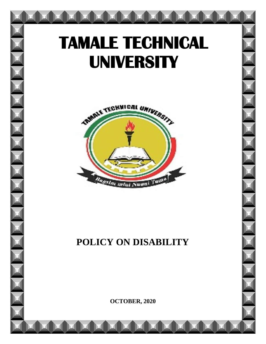# **TAMALE TECHNICAL UNIVERSITY**



# **POLICY ON DISABILITY**

**OCTOBER, 2020**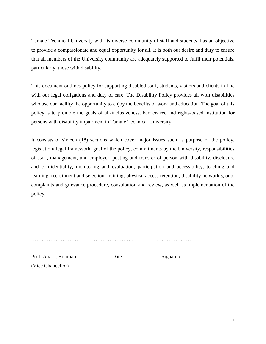Tamale Technical University with its diverse community of staff and students, has an objective to provide a compassionate and equal opportunity for all. It is both our desire and duty to ensure that all members of the University community are adequately supported to fulfil their potentials, particularly, those with disability.

This document outlines policy for supporting disabled staff, students, visitors and clients in line with our legal obligations and duty of care. The Disability Policy provides all with disabilities who use our facility the opportunity to enjoy the benefits of work and education. The goal of this policy is to promote the goals of all-inclusiveness, barrier-free and rights-based institution for persons with disability impairment in Tamale Technical University.

It consists of sixteen (18) sections which cover major issues such as purpose of the policy, legislation/ legal framework, goal of the policy, commitments by the University, responsibilities of staff, management, and employer, posting and transfer of person with disability, disclosure and confidentiality, monitoring and evaluation, participation and accessibility, teaching and learning, recruitment and selection, training, physical access retention, disability network group, complaints and grievance procedure, consultation and review, as well as implementation of the policy.

……………………… ………………….. …………………

Prof. Abass, Braimah Date Signature (Vice Chancellor)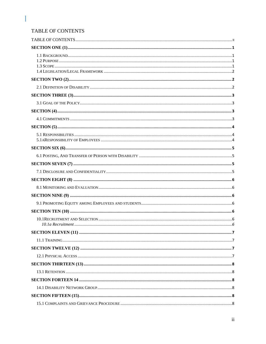# <span id="page-2-0"></span>TABLE OF CONTENTS

I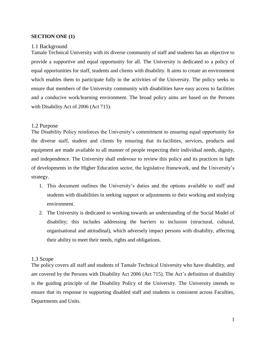#### <span id="page-4-0"></span>**SECTION ONE (1)**

#### <span id="page-4-1"></span>1.1 Background

Tamale Technical University with its diverse community of staff and students has an objective to provide a supportive and equal opportunity for all. The University is dedicated to a policy of equal opportunities for staff, students and clients with disability. It aims to create an environment which enables them to participate fully in the activities of the University. The policy seeks to ensure that members of the University community with disabilities have easy access to facilities and a conducive work/learning environment. The broad policy aims are based on the Persons with Disability Act of 2006 (Act 715).

#### <span id="page-4-2"></span>1.2 Purpose

The Disability Policy reinforces the University's commitment to ensuring equal opportunity for the diverse staff, student and clients by ensuring that its facilities, services, products and equipment are made available to all manner of people respecting their individual needs, dignity, and independence. The University shall endevour to review this policy and its practices in light of developments in the Higher Education sector, the legislative framework, and the University's strategy.

- 1. This document outlines the University's duties and the options available to staff and students with disabilities in seeking support or adjustments to their working and studying environment.
- 2. The University is dedicated to working towards an understanding of the Social Model of disability; this includes addressing the barriers to inclusion (structural, cultural, organisational and attitudinal), which adversely impact persons with disability, affecting their ability to meet their needs, rights and obligations.

#### <span id="page-4-3"></span>1.3 Scope

The policy covers all staff and students of Tamale Technical University who have disability, and are covered by the Persons with Disability Act 2006 (Act 715). The Act's definition of disability is the guiding principle of the Disability Policy of the University. The University intends to ensure that its response to supporting disabled staff and students is consistent across Faculties, Departments and Units.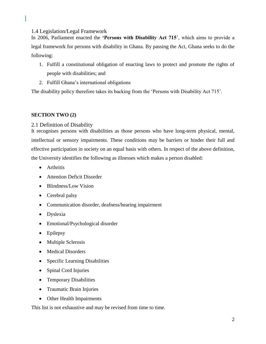<span id="page-5-0"></span>1.4 Legislation/Legal Framework

In 2006, Parliament enacted the **'Persons with Disability Act 715**', which aims to provide a legal framework for persons with disability in Ghana. By passing the Act, Ghana seeks to do the following:

- 1. Fulfill a constitutional obligation of enacting laws to protect and promote the rights of people with disabilities; and
- 2. Fulfill Ghana's international obligations

The disability policy therefore takes its backing from the 'Persons with Disability Act 715'.

# <span id="page-5-1"></span>**SECTION TWO (2)**

# <span id="page-5-2"></span>2.1 Definition of Disability

It recognises persons with disabilities as those persons who have long-term physical, mental, intellectual or sensory impairments. These conditions may be barriers or hinder their full and effective participation in society on an equal basis with others. In respect of the above definition, the University identifies the following as illnesses which makes a person disabled:

- Arthritis
- Attention Deficit Disorder
- Blindness/Low Vision
- Cerebral palsy
- Communication disorder, deafness/hearing impairment
- Dyslexia
- Emotional/Psychological disorder
- Epilepsy
- Multiple Sclerosis
- Medical Disorders
- Specific Learning Disabilities
- Spinal Cord Injuries
- Temporary Disabilities
- Traumatic Brain Injuries
- Other Health Impairments

This list is not exhaustive and may be revised from time to time.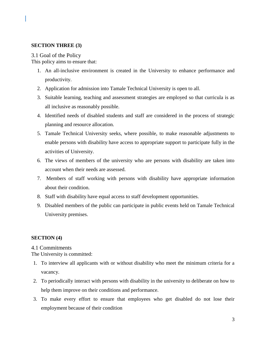# <span id="page-6-0"></span>**SECTION THREE (3)**

# <span id="page-6-1"></span>3.1 Goal of the Policy

This policy aims to ensure that:

- 1. An all-inclusive environment is created in the University to enhance performance and productivity.
- 2. Application for admission into Tamale Technical University is open to all.
- 3. Suitable learning, teaching and assessment strategies are employed so that curricula is as all inclusive as reasonably possible.
- 4. Identified needs of disabled students and staff are considered in the process of strategic planning and resource allocation.
- 5. Tamale Technical University seeks, where possible, to make reasonable adjustments to enable persons with disability have access to appropriate support to participate fully in the activities of University.
- 6. The views of members of the university who are persons with disability are taken into account when their needs are assessed.
- 7. Members of staff working with persons with disability have appropriate information about their condition.
- 8. Staff with disability have equal access to staff development opportunities.
- 9. Disabled members of the public can participate in public events held on Tamale Technical University premises.

# <span id="page-6-2"></span>**SECTION (4)**

<span id="page-6-3"></span>4.1 Commitments

The University is committed:

- 1. To interview all applicants with or without disability who meet the minimum criteria for a vacancy.
- 2. To periodically interact with persons with disability in the university to deliberate on how to help them improve on their conditions and performance.
- 3. To make every effort to ensure that employees who get disabled do not lose their employment because of their condition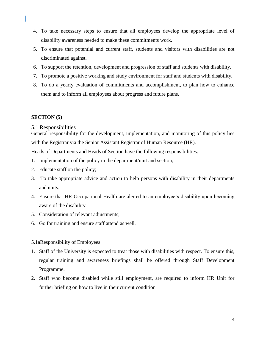- 4. To take necessary steps to ensure that all employees develop the appropriate level of disability awareness needed to make these commitments work.
- 5. To ensure that potential and current staff, students and visitors with disabilities are not discriminated against.
- 6. To support the retention, development and progression of staff and students with disability.
- 7. To promote a positive working and study environment for staff and students with disability.
- 8. To do a yearly evaluation of commitments and accomplishment, to plan how to enhance them and to inform all employees about progress and future plans.

# <span id="page-7-0"></span>**SECTION (5)**

#### <span id="page-7-1"></span>5.1 Responsibilities

General responsibility for the development, implementation, and monitoring of this policy lies with the Registrar via the Senior Assistant Registrar of Human Resource (HR).

Heads of Departments and Heads of Section have the following responsibilities:

- 1. Implementation of the policy in the department/unit and section;
- 2. Educate staff on the policy;
- 3. To take appropriate advice and action to help persons with disability in their departments and units.
- 4. Ensure that HR Occupational Health are alerted to an employee's disability upon becoming aware of the disability
- 5. Consideration of relevant adjustments;
- 6. Go for training and ensure staff attend as well.

#### <span id="page-7-2"></span>5.1aResponsibility of Employees

- 1. Staff of the University is expected to treat those with disabilities with respect. To ensure this, regular training and awareness briefings shall be offered through Staff Development Programme.
- 2. Staff who become disabled while still employment, are required to inform HR Unit for further briefing on how to live in their current condition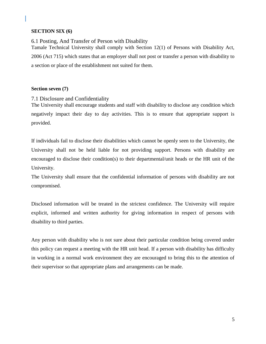# <span id="page-8-0"></span>**SECTION SIX (6)**

<span id="page-8-1"></span>6.1 Posting, And Transfer of Person with Disability Tamale Technical University shall comply with Section 12(1) of Persons with Disability Act, 2006 (Act 715) which states that an employer shall not post or transfer a person with disability to a section or place of the establishment not suited for them.

# <span id="page-8-2"></span>**Section seven (7)**

<span id="page-8-3"></span>7.1 Disclosure and Confidentiality

The University shall encourage students and staff with disability to disclose any condition which negatively impact their day to day activities. This is to ensure that appropriate support is provided.

If individuals fail to disclose their disabilities which cannot be openly seen to the University, the University shall not be held liable for not providing support. Persons with disability are encouraged to disclose their condition(s) to their departmental/unit heads or the HR unit of the University.

The University shall ensure that the confidential information of persons with disability are not compromised.

Disclosed information will be treated in the strictest confidence. The University will require explicit, informed and written authority for giving information in respect of persons with disability to third parties.

Any person with disability who is not sure about their particular condition being covered under this policy can request a meeting with the HR unit head. If a person with disability has difficulty in working in a normal work environment they are encouraged to bring this to the attention of their supervisor so that appropriate plans and arrangements can be made.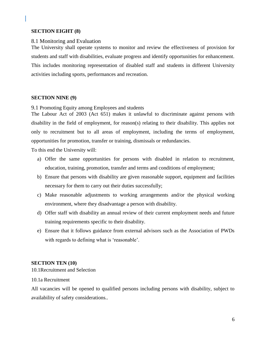# <span id="page-9-0"></span>**SECTION EIGHT (8)**

#### <span id="page-9-1"></span>8.1 Monitoring and Evaluation

The University shall operate systems to monitor and review the effectiveness of provision for students and staff with disabilities, evaluate progress and identify opportunities for enhancement. This includes monitoring representation of disabled staff and students in different University activities including sports, performances and recreation.

#### <span id="page-9-2"></span>**SECTION NINE (9)**

<span id="page-9-3"></span>9.1 Promoting Equity among Employees and students

The Labour Act of 2003 (Act 651) makes it unlawful to discriminate against persons with disability in the field of employment, for reason(s) relating to their disability. This applies not only to recruitment but to all areas of employment, including the terms of employment, opportunities for promotion, transfer or training, dismissals or redundancies.

To this end the University will:

- a) Offer the same opportunities for persons with disabled in relation to recruitment, education, training, promotion, transfer and terms and conditions of employment;
- b) Ensure that persons with disability are given reasonable support, equipment and facilities necessary for them to carry out their duties successfully;
- c) Make reasonable adjustments to working arrangements and/or the physical working environment, where they disadvantage a person with disability.
- d) Offer staff with disability an annual review of their current employment needs and future training requirements specific to their disability.
- e) Ensure that it follows guidance from external advisors such as the Association of PWDs with regards to defining what is 'reasonable'.

#### <span id="page-9-4"></span>**SECTION TEN (10)**

<span id="page-9-5"></span>10.1Recruitment and Selection

#### <span id="page-9-6"></span>10.1a Recruitment

All vacancies will be opened to qualified persons including persons with disability, subject to availability of safety considerations..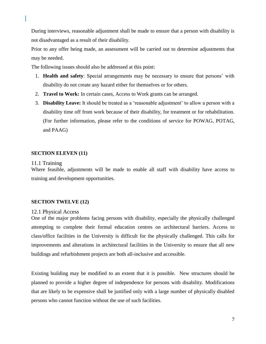During interviews, reasonable adjustment shall be made to ensure that a person with disability is not disadvantaged as a result of their disability.

Prior to any offer being made, an assessment will be carried out to determine adjustments that may be needed.

The following issues should also be addressed at this point:

- 1. **Health and safety**: Special arrangements may be necessary to ensure that persons' with disability do not create any hazard either for themselves or for others.
- 2. **Travel to Work:** In certain cases, Access to Work grants can be arranged.
- 3. **Disability Leave:** It should be treated as a 'reasonable adjustment' to allow a person with a disability time off from work because of their disability, for treatment or for rehabilitation. (For further information, please refer to the conditions of service for POWAG, POTAG, and PAAG)

#### <span id="page-10-0"></span>**SECTION ELEVEN (11)**

#### <span id="page-10-1"></span>11.1 Training

Where feasible, adjustments will be made to enable all staff with disability have access to training and development opportunities.

#### <span id="page-10-2"></span>**SECTION TWELVE (12)**

#### <span id="page-10-3"></span>12.1 Physical Access

One of the major problems facing persons with disability, especially the physically challenged attempting to complete their formal education centres on architectural barriers. Access to class/office facilities in the University is difficult for the physically challenged. This calls for improvements and alterations in architectural facilities in the University to ensure that all new buildings and refurbishment projects are both all-inclusive and accessible.

Existing building may be modified to an extent that it is possible. New structures should be planned to provide a higher degree of independence for persons with disability. Modifications that are likely to be expensive shall be justified only with a large number of physically disabled persons who cannot function without the use of such facilities.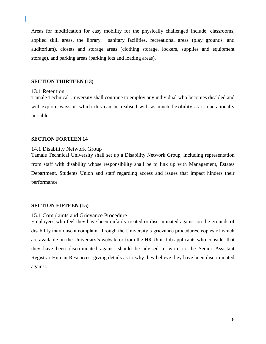Areas for modification for easy mobility for the physically challenged include, classrooms, applied skill areas, the library, sanitary facilities, recreational areas (play grounds, and auditorium), closets and storage areas (clothing storage, lockers, supplies and equipment storage), and parking areas (parking lots and loading areas).

#### <span id="page-11-0"></span>**SECTION THIRTEEN (13)**

#### <span id="page-11-1"></span>13.1 Retention

Tamale Technical University shall continue to employ any individual who becomes disabled and will explore ways in which this can be realised with as much flexibility as is operationally possible.

#### <span id="page-11-2"></span>**SECTION FORTEEN 14**

#### <span id="page-11-3"></span>14.1 Disability Network Group

Tamale Technical University shall set up a Disability Network Group, including representation from staff with disability whose responsibility shall be to link up with Management, Estates Department, Students Union and staff regarding access and issues that impact hinders their performance

#### <span id="page-11-4"></span>**SECTION FIFTEEN (15)**

#### <span id="page-11-5"></span>15.1 Complaints and Grievance Procedure

Employees who feel they have been unfairly treated or discriminated against on the grounds of disability may raise a complaint through the University's grievance procedures, copies of which are available on the University's website or from the HR Unit. Job applicants who consider that they have been discriminated against should be advised to write to the Senior Assistant Registrar-Human Resources, giving details as to why they believe they have been discriminated against.